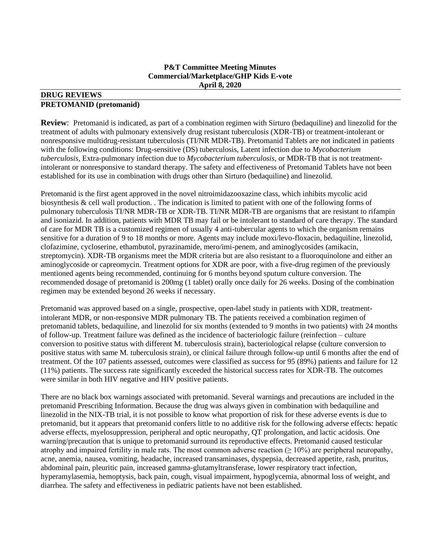#### **P&T Committee Meeting Minutes Commercial/Marketplace/GHP Kids E-vote April 8, 2020**

#### **DRUG REVIEWS PRETOMANID (pretomanid)**

**Review**: Pretomanid is indicated, as part of a combination regimen with Sirturo (bedaquiline) and linezolid for the treatment of adults with pulmonary extensively drug resistant tuberculosis (XDR-TB) or treatment-intolerant or nonresponsive multidrug-resistant tuberculosis (TI/NR MDR-TB). Pretomanid Tablets are not indicated in patients with the following conditions: Drug-sensitive (DS) tuberculosis, Latent infection due to *Mycobacterium tuberculosis*, Extra-pulmonary infection due to *Mycobacterium tuberculosis*, or MDR-TB that is not treatmentintolerant or nonresponsive to standard therapy. The safety and effectiveness of Pretomanid Tablets have not been established for its use in combination with drugs other than Sirturo (bedaquiline) and linezolid.

Pretomanid is the first agent approved in the novel nitroimidazooxazine class, which inhibits mycolic acid biosynthesis & cell wall production. . The indication is limited to patient with one of the following forms of pulmonary tuberculosis TI/NR MDR-TB or XDR-TB. TI/NR MDR-TB are organisms that are resistant to rifampin and isoniazid. In addition, patients with MDR TB may fail or be intolerant to standard of care therapy. The standard of care for MDR TB is a customized regimen of usually 4 anti-tubercular agents to which the organism remains sensitive for a duration of 9 to 18 months or more. Agents may include moxi/levo-floxacin, bedaquiline, linezolid, clofazimine, cycloserine, ethambutol, pyrazinamide, mero/imi-penem, and aminoglycosides (amikacin, streptomycin). XDR-TB organisms meet the MDR criteria but are also resistant to a fluoroquinolone and either an aminoglycoside or capreomycin. Treatment options for XDR are poor, with a five-drug regimen of the previously mentioned agents being recommended, continuing for 6 months beyond sputum culture conversion. The recommended dosage of pretomanid is 200mg (1 tablet) orally once daily for 26 weeks. Dosing of the combination regimen may be extended beyond 26 weeks if necessary.

Pretomanid was approved based on a single, prospective, open-label study in patients with XDR, treatmentintolerant MDR, or non-responsive MDR pulmonary TB. The patients received a combination regimen of pretomanid tablets, bedaquiline, and linezolid for six months (extended to 9 months in two patients) with 24 months of follow-up. Treatment failure was defined as the incidence of bacteriologic failure (reinfection – culture conversion to positive status with different M. tuberculosis strain), bacteriological relapse (culture conversion to positive status with same M. tuberculosis strain), or clinical failure through follow-up until 6 months after the end of treatment. Of the 107 patients assessed, outcomes were classified as success for 95 (89%) patients and failure for 12 (11%) patients. The success rate significantly exceeded the historical success rates for XDR-TB. The outcomes were similar in both HIV negative and HIV positive patients.

There are no black box warnings associated with pretomanid. Several warnings and precautions are included in the pretomanid Prescribing Information. Because the drug was always given in combination with bedaquiline and linezolid in the NIX-TB trial, it is not possible to know what proportion of risk for these adverse events is due to pretomanid, but it appears that pretomanid confers little to no additive risk for the following adverse effects: hepatic adverse effects, myelosuppression, peripheral and optic neuropathy, QT prolongation, and lactic acidosis. One warning/precaution that is unique to pretomanid surround its reproductive effects. Pretomanid caused testicular atrophy and impaired fertility in male rats. The most common adverse reaction  $(≥ 10%)$  are peripheral neuropathy, acne, anemia, nausea, vomiting, headache, increased transaminases, dyspepsia, decreased appetite, rash, pruritus, abdominal pain, pleuritic pain, increased gamma-glutamyltransferase, lower respiratory tract infection, hyperamylasemia, hemoptysis, back pain, cough, visual impairment, hypoglycemia, abnormal loss of weight, and diarrhea. The safety and effectiveness in pediatric patients have not been established.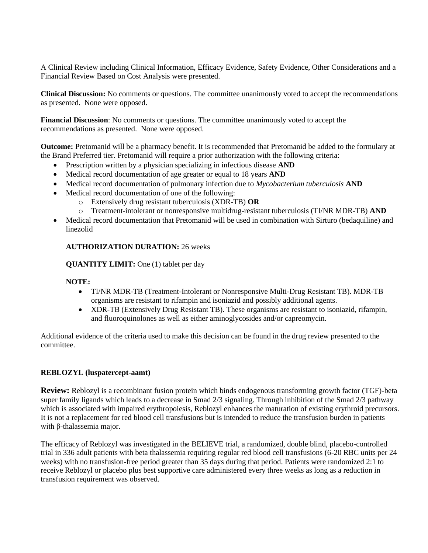A Clinical Review including Clinical Information, Efficacy Evidence, Safety Evidence, Other Considerations and a Financial Review Based on Cost Analysis were presented.

**Clinical Discussion:** No comments or questions. The committee unanimously voted to accept the recommendations as presented. None were opposed.

**Financial Discussion**: No comments or questions. The committee unanimously voted to accept the recommendations as presented. None were opposed.

**Outcome:** Pretomanid will be a pharmacy benefit. It is recommended that Pretomanid be added to the formulary at the Brand Preferred tier. Pretomanid will require a prior authorization with the following criteria:

- Prescription written by a physician specializing in infectious disease **AND**
- Medical record documentation of age greater or equal to 18 years **AND**
- Medical record documentation of pulmonary infection due to *Mycobacterium tuberculosis* **AND**
- Medical record documentation of one of the following:
	- o Extensively drug resistant tuberculosis (XDR-TB) **OR**
	- o Treatment-intolerant or nonresponsive multidrug-resistant tuberculosis (TI/NR MDR-TB) **AND**
- Medical record documentation that Pretomanid will be used in combination with Sirturo (bedaquiline) and linezolid

### **AUTHORIZATION DURATION:** 26 weeks

**QUANTITY LIMIT:** One (1) tablet per day

#### **NOTE:**

- TI/NR MDR-TB (Treatment-Intolerant or Nonresponsive Multi-Drug Resistant TB). MDR-TB organisms are resistant to rifampin and isoniazid and possibly additional agents.
- XDR-TB (Extensively Drug Resistant TB). These organisms are resistant to isoniazid, rifampin, and fluoroquinolones as well as either aminoglycosides and/or capreomycin.

Additional evidence of the criteria used to make this decision can be found in the drug review presented to the committee.

#### **REBLOZYL (luspatercept-aamt)**

**Review:** Reblozyl is a recombinant fusion protein which binds endogenous transforming growth factor (TGF)-beta super family ligands which leads to a decrease in Smad 2/3 signaling. Through inhibition of the Smad 2/3 pathway which is associated with impaired erythropoiesis, Reblozyl enhances the maturation of existing erythroid precursors. It is not a replacement for red blood cell transfusions but is intended to reduce the transfusion burden in patients with β-thalassemia major.

The efficacy of Reblozyl was investigated in the BELIEVE trial, a randomized, double blind, placebo-controlled trial in 336 adult patients with beta thalassemia requiring regular red blood cell transfusions (6-20 RBC units per 24 weeks) with no transfusion-free period greater than 35 days during that period. Patients were randomized 2:1 to receive Reblozyl or placebo plus best supportive care administered every three weeks as long as a reduction in transfusion requirement was observed.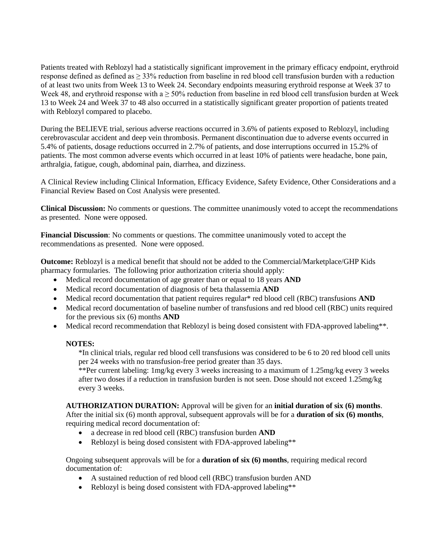Patients treated with Reblozyl had a statistically significant improvement in the primary efficacy endpoint, erythroid response defined as defined as  $\geq$  33% reduction from baseline in red blood cell transfusion burden with a reduction of at least two units from Week 13 to Week 24. Secondary endpoints measuring erythroid response at Week 37 to Week 48, and erythroid response with a  $\geq 50\%$  reduction from baseline in red blood cell transfusion burden at Week 13 to Week 24 and Week 37 to 48 also occurred in a statistically significant greater proportion of patients treated with Reblozyl compared to placebo.

During the BELIEVE trial, serious adverse reactions occurred in 3.6% of patients exposed to Reblozyl, including cerebrovascular accident and deep vein thrombosis. Permanent discontinuation due to adverse events occurred in 5.4% of patients, dosage reductions occurred in 2.7% of patients, and dose interruptions occurred in 15.2% of patients. The most common adverse events which occurred in at least 10% of patients were headache, bone pain, arthralgia, fatigue, cough, abdominal pain, diarrhea, and dizziness.

A Clinical Review including Clinical Information, Efficacy Evidence, Safety Evidence, Other Considerations and a Financial Review Based on Cost Analysis were presented.

**Clinical Discussion:** No comments or questions. The committee unanimously voted to accept the recommendations as presented. None were opposed.

**Financial Discussion**: No comments or questions. The committee unanimously voted to accept the recommendations as presented. None were opposed.

**Outcome:** Reblozyl is a medical benefit that should not be added to the Commercial/Marketplace/GHP Kids pharmacy formularies. The following prior authorization criteria should apply:

- Medical record documentation of age greater than or equal to 18 years **AND**
- Medical record documentation of diagnosis of beta thalassemia **AND**
- Medical record documentation that patient requires regular\* red blood cell (RBC) transfusions **AND**
- Medical record documentation of baseline number of transfusions and red blood cell (RBC) units required for the previous six (6) months **AND**
- Medical record recommendation that Reblozyl is being dosed consistent with FDA-approved labeling\*\*.

#### **NOTES:**

\*In clinical trials, regular red blood cell transfusions was considered to be 6 to 20 red blood cell units per 24 weeks with no transfusion-free period greater than 35 days.

\*\*Per current labeling: 1mg/kg every 3 weeks increasing to a maximum of 1.25mg/kg every 3 weeks after two doses if a reduction in transfusion burden is not seen. Dose should not exceed 1.25mg/kg every 3 weeks.

**AUTHORIZATION DURATION:** Approval will be given for an **initial duration of six (6) months**. After the initial six (6) month approval, subsequent approvals will be for a **duration of six (6) months**, requiring medical record documentation of:

- a decrease in red blood cell (RBC) transfusion burden **AND**
- Reblozyl is being dosed consistent with FDA-approved labeling\*\*

Ongoing subsequent approvals will be for a **duration of six (6) months**, requiring medical record documentation of:

- A sustained reduction of red blood cell (RBC) transfusion burden AND
- Reblozyl is being dosed consistent with FDA-approved labeling\*\*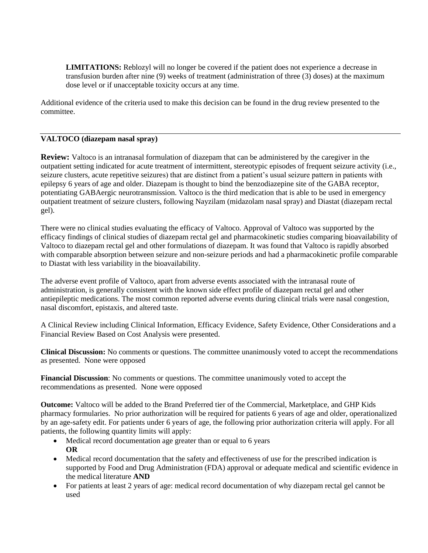**LIMITATIONS:** Reblozyl will no longer be covered if the patient does not experience a decrease in transfusion burden after nine (9) weeks of treatment (administration of three (3) doses) at the maximum dose level or if unacceptable toxicity occurs at any time.

Additional evidence of the criteria used to make this decision can be found in the drug review presented to the committee.

#### **VALTOCO (diazepam nasal spray)**

**Review:** Valtoco is an intranasal formulation of diazepam that can be administered by the caregiver in the outpatient setting indicated for acute treatment of intermittent, stereotypic episodes of frequent seizure activity (i.e., seizure clusters, acute repetitive seizures) that are distinct from a patient's usual seizure pattern in patients with epilepsy 6 years of age and older. Diazepam is thought to bind the benzodiazepine site of the GABA receptor, potentiating GABAergic neurotransmission. Valtoco is the third medication that is able to be used in emergency outpatient treatment of seizure clusters, following Nayzilam (midazolam nasal spray) and Diastat (diazepam rectal gel).

There were no clinical studies evaluating the efficacy of Valtoco. Approval of Valtoco was supported by the efficacy findings of clinical studies of diazepam rectal gel and pharmacokinetic studies comparing bioavailability of Valtoco to diazepam rectal gel and other formulations of diazepam. It was found that Valtoco is rapidly absorbed with comparable absorption between seizure and non-seizure periods and had a pharmacokinetic profile comparable to Diastat with less variability in the bioavailability.

The adverse event profile of Valtoco, apart from adverse events associated with the intranasal route of administration, is generally consistent with the known side effect profile of diazepam rectal gel and other antiepileptic medications. The most common reported adverse events during clinical trials were nasal congestion, nasal discomfort, epistaxis, and altered taste.

A Clinical Review including Clinical Information, Efficacy Evidence, Safety Evidence, Other Considerations and a Financial Review Based on Cost Analysis were presented.

**Clinical Discussion:** No comments or questions. The committee unanimously voted to accept the recommendations as presented. None were opposed

**Financial Discussion**: No comments or questions. The committee unanimously voted to accept the recommendations as presented. None were opposed

**Outcome:** Valtoco will be added to the Brand Preferred tier of the Commercial, Marketplace, and GHP Kids pharmacy formularies. No prior authorization will be required for patients 6 years of age and older, operationalized by an age-safety edit. For patients under 6 years of age, the following prior authorization criteria will apply. For all patients, the following quantity limits will apply:

- Medical record documentation age greater than or equal to 6 years **OR**
- Medical record documentation that the safety and effectiveness of use for the prescribed indication is supported by Food and Drug Administration (FDA) approval or adequate medical and scientific evidence in the medical literature **AND**
- For patients at least 2 years of age: medical record documentation of why diazepam rectal gel cannot be used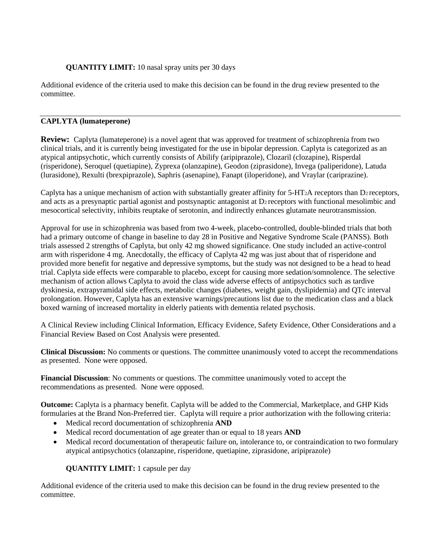## **QUANTITY LIMIT:** 10 nasal spray units per 30 days

Additional evidence of the criteria used to make this decision can be found in the drug review presented to the committee.

## **CAPLYTA (lumateperone)**

**Review:** Caplyta (lumateperone) is a novel agent that was approved for treatment of schizophrenia from two clinical trials, and it is currently being investigated for the use in bipolar depression. Caplyta is categorized as an atypical antipsychotic, which currently consists of Abilify (aripiprazole), Clozaril (clozapine), Risperdal (risperidone), Seroquel (quetiapine), Zyprexa (olanzapine), Geodon (ziprasidone), Invega (paliperidone), Latuda (lurasidone), Rexulti (brexpiprazole), Saphris (asenapine), Fanapt (iloperidone), and Vraylar (cariprazine).

Caplyta has a unique mechanism of action with substantially greater affinity for  $5-HT_2A$  receptors than D<sub>2</sub> receptors, and acts as a presynaptic partial agonist and postsynaptic antagonist at  $D<sub>2</sub>$  receptors with functional mesolimbic and mesocortical selectivity, inhibits reuptake of serotonin, and indirectly enhances glutamate neurotransmission.

Approval for use in schizophrenia was based from two 4-week, placebo-controlled, double-blinded trials that both had a primary outcome of change in baseline to day 28 in Positive and Negative Syndrome Scale (PANSS). Both trials assessed 2 strengths of Caplyta, but only 42 mg showed significance. One study included an active-control arm with risperidone 4 mg. Anecdotally, the efficacy of Caplyta 42 mg was just about that of risperidone and provided more benefit for negative and depressive symptoms, but the study was not designed to be a head to head trial. Caplyta side effects were comparable to placebo, except for causing more sedation/somnolence. The selective mechanism of action allows Caplyta to avoid the class wide adverse effects of antipsychotics such as tardive dyskinesia, extrapyramidal side effects, metabolic changes (diabetes, weight gain, dyslipidemia) and QTc interval prolongation. However, Caplyta has an extensive warnings/precautions list due to the medication class and a black boxed warning of increased mortality in elderly patients with dementia related psychosis.

A Clinical Review including Clinical Information, Efficacy Evidence, Safety Evidence, Other Considerations and a Financial Review Based on Cost Analysis were presented.

**Clinical Discussion:** No comments or questions. The committee unanimously voted to accept the recommendations as presented. None were opposed.

**Financial Discussion**: No comments or questions. The committee unanimously voted to accept the recommendations as presented. None were opposed.

**Outcome:** Caplyta is a pharmacy benefit. Caplyta will be added to the Commercial, Marketplace, and GHP Kids formularies at the Brand Non-Preferred tier. Caplyta will require a prior authorization with the following criteria:

- Medical record documentation of schizophrenia **AND**
- Medical record documentation of age greater than or equal to 18 years **AND**
- Medical record documentation of therapeutic failure on, intolerance to, or contraindication to two formulary atypical antipsychotics (olanzapine, risperidone, quetiapine, ziprasidone, aripiprazole)

**QUANTITY LIMIT:** 1 capsule per day

Additional evidence of the criteria used to make this decision can be found in the drug review presented to the committee.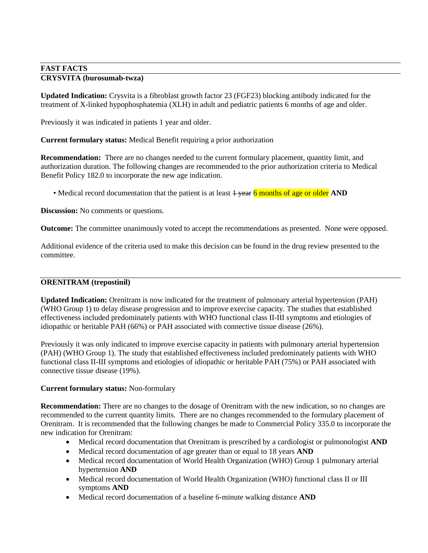## **FAST FACTS CRYSVITA (burosumab-twza)**

**Updated Indication:** Crysvita is a fibroblast growth factor 23 (FGF23) blocking antibody indicated for the treatment of X-linked hypophosphatemia (XLH) in adult and pediatric patients 6 months of age and older.

Previously it was indicated in patients 1 year and older.

**Current formulary status:** Medical Benefit requiring a prior authorization

**Recommendation:** There are no changes needed to the current formulary placement, quantity limit, and authorization duration. The following changes are recommended to the prior authorization criteria to Medical Benefit Policy 182.0 to incorporate the new age indication.

• Medical record documentation that the patient is at least  $\frac{1}{1}$  year 6 months of age or older AND

**Discussion:** No comments or questions.

**Outcome:** The committee unanimously voted to accept the recommendations as presented. None were opposed.

Additional evidence of the criteria used to make this decision can be found in the drug review presented to the committee.

## **ORENITRAM (trepostinil)**

**Updated Indication:** Orenitram is now indicated for the treatment of pulmonary arterial hypertension (PAH) (WHO Group 1) to delay disease progression and to improve exercise capacity. The studies that established effectiveness included predominately patients with WHO functional class II-III symptoms and etiologies of idiopathic or heritable PAH (66%) or PAH associated with connective tissue disease (26%).

Previously it was only indicated to improve exercise capacity in patients with pulmonary arterial hypertension (PAH) (WHO Group 1). The study that established effectiveness included predominately patients with WHO functional class II-III symptoms and etiologies of idiopathic or heritable PAH (75%) or PAH associated with connective tissue disease (19%).

#### **Current formulary status:** Non-formulary

**Recommendation:** There are no changes to the dosage of Orenitram with the new indication, so no changes are recommended to the current quantity limits. There are no changes recommended to the formulary placement of Orenitram. It is recommended that the following changes be made to Commercial Policy 335.0 to incorporate the new indication for Orenitram:

- Medical record documentation that Orenitram is prescribed by a cardiologist or pulmonologist **AND**
- Medical record documentation of age greater than or equal to 18 years **AND**
- Medical record documentation of World Health Organization (WHO) Group 1 pulmonary arterial hypertension **AND**
- Medical record documentation of World Health Organization (WHO) functional class II or III symptoms **AND**
- Medical record documentation of a baseline 6-minute walking distance **AND**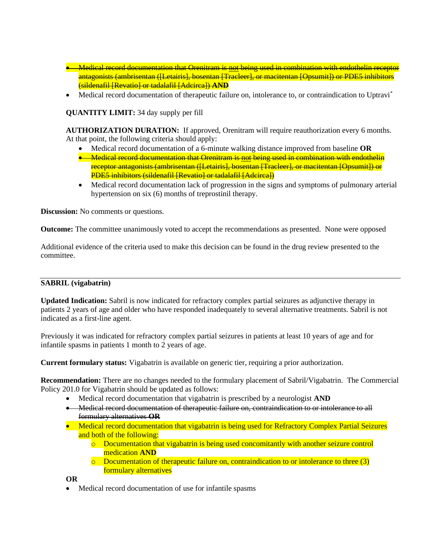- Medical record documentation that Orenitram is not being used in combination with endothelin receptor antagonists (ambrisentan ([Letairis], bosentan [Tracleer], or macitentan [Opsumit]) or PDE5 inhibitors (sildenafil [Revatio] or tadalafil [Adcirca]) **AND**
- Medical record documentation of therapeutic failure on, intolerance to, or contraindication to Uptravi<sup>\*</sup>

**QUANTITY LIMIT:** 34 day supply per fill

**AUTHORIZATION DURATION:** If approved, Orenitram will require reauthorization every 6 months. At that point, the following criteria should apply:

- Medical record documentation of a 6-minute walking distance improved from baseline **OR**
- Medical record documentation that Orenitram is not being used in combination with endothelin receptor antagonists (ambrisentan ([Letairis], bosentan [Tracleer], or macitentan [Opsumit]) or PDE5 inhibitors (sildenafil [Revatio] or tadalafil [Adcirca])
- Medical record documentation lack of progression in the signs and symptoms of pulmonary arterial hypertension on six (6) months of treprostinil therapy.

**Discussion:** No comments or questions.

**Outcome:** The committee unanimously voted to accept the recommendations as presented. None were opposed

Additional evidence of the criteria used to make this decision can be found in the drug review presented to the committee.

#### **SABRIL (vigabatrin)**

**Updated Indication:** Sabril is now indicated for refractory complex partial seizures as adjunctive therapy in patients 2 years of age and older who have responded inadequately to several alternative treatments. Sabril is not indicated as a first-line agent.

Previously it was indicated for refractory complex partial seizures in patients at least 10 years of age and for infantile spasms in patients 1 month to 2 years of age.

**Current formulary status:** Vigabatrin is available on generic tier, requiring a prior authorization.

**Recommendation:** There are no changes needed to the formulary placement of Sabril/Vigabatrin. The Commercial Policy 201.0 for Vigabatrin should be updated as follows:

- Medical record documentation that vigabatrin is prescribed by a neurologist **AND**
- Medical record documentation of therapeutic failure on, contraindication to or intolerance to all formulary alternatives **OR**
- Medical record documentation that vigabatrin is being used for Refractory Complex Partial Seizures and both of the following:
	- o Documentation that vigabatrin is being used concomitantly with another seizure control medication **AND**
	- $\circ$  Documentation of therapeutic failure on, contraindication to or intolerance to three (3) formulary alternatives

**OR**

Medical record documentation of use for infantile spasms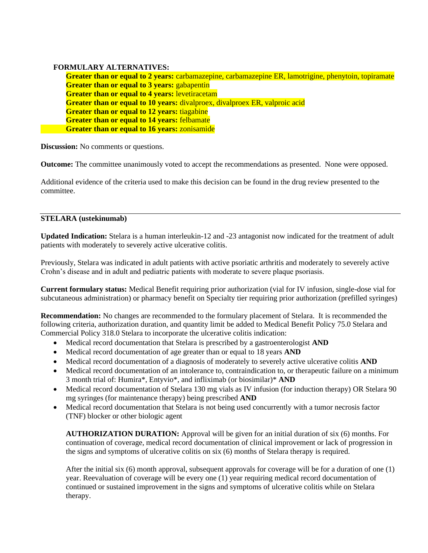#### **FORMULARY ALTERNATIVES:**

**Greater than or equal to 2 years:** carbamazepine, carbamazepine ER, lamotrigine, phenytoin, topiramate **Greater than or equal to 3 years: gabapentin Greater than or equal to 4 years:** levetiracetam **Greater than or equal to 10 years:** divalproex, divalproex ER, valproic acid **Greater than or equal to 12 years:** tiagabine **Greater than or equal to 14 years:** felbamate **Greater than or equal to 16 years:** zonisamide

**Discussion:** No comments or questions.

**Outcome:** The committee unanimously voted to accept the recommendations as presented. None were opposed.

Additional evidence of the criteria used to make this decision can be found in the drug review presented to the committee.

### **STELARA (ustekinumab)**

**Updated Indication:** Stelara is a human interleukin-12 and -23 antagonist now indicated for the treatment of adult patients with moderately to severely active ulcerative colitis.

Previously, Stelara was indicated in adult patients with active psoriatic arthritis and moderately to severely active Crohn's disease and in adult and pediatric patients with moderate to severe plaque psoriasis.

**Current formulary status:** Medical Benefit requiring prior authorization (vial for IV infusion, single-dose vial for subcutaneous administration) or pharmacy benefit on Specialty tier requiring prior authorization (prefilled syringes)

**Recommendation:** No changes are recommended to the formulary placement of Stelara. It is recommended the following criteria, authorization duration, and quantity limit be added to Medical Benefit Policy 75.0 Stelara and Commercial Policy 318.0 Stelara to incorporate the ulcerative colitis indication:

- Medical record documentation that Stelara is prescribed by a gastroenterologist **AND**
- Medical record documentation of age greater than or equal to 18 years **AND**
- Medical record documentation of a diagnosis of moderately to severely active ulcerative colitis **AND**
- Medical record documentation of an intolerance to, contraindication to, or therapeutic failure on a minimum 3 month trial of: Humira\*, Entyvio\*, and infliximab (or biosimilar)\* **AND**
- Medical record documentation of Stelara 130 mg vials as IV infusion (for induction therapy) OR Stelara 90 mg syringes (for maintenance therapy) being prescribed **AND**
- Medical record documentation that Stelara is not being used concurrently with a tumor necrosis factor (TNF) blocker or other biologic agent

**AUTHORIZATION DURATION:** Approval will be given for an initial duration of six (6) months. For continuation of coverage, medical record documentation of clinical improvement or lack of progression in the signs and symptoms of ulcerative colitis on six (6) months of Stelara therapy is required.

After the initial six (6) month approval, subsequent approvals for coverage will be for a duration of one (1) year. Reevaluation of coverage will be every one (1) year requiring medical record documentation of continued or sustained improvement in the signs and symptoms of ulcerative colitis while on Stelara therapy.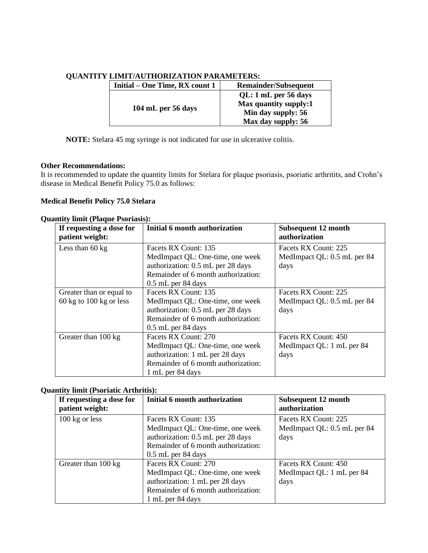| Initial – One Time, RX count 1 | <b>Remainder/Subsequent</b>                                                               |
|--------------------------------|-------------------------------------------------------------------------------------------|
| 104 mL per 56 days             | QL: 1 mL per 56 days<br>Max quantity supply:1<br>Min day supply: 56<br>Max day supply: 56 |

# **QUANTITY LIMIT/AUTHORIZATION PARAMETERS:**

**NOTE:** Stelara 45 mg syringe is not indicated for use in ulcerative colitis.

#### **Other Recommendations:**

It is recommended to update the quantity limits for Stelara for plaque psoriasis, psoriatic arthritits, and Crohn's disease in Medical Benefit Policy 75.0 as follows:

#### **Medical Benefit Policy 75.0 Stelara**

#### **Quantity limit (Plaque Psoriasis):**

| If requesting a dose for<br>patient weight:                             | Initial 6 month authorization                                                                                                                                | Subsequent 12 month<br>authorization                        |
|-------------------------------------------------------------------------|--------------------------------------------------------------------------------------------------------------------------------------------------------------|-------------------------------------------------------------|
| Less than 60 kg                                                         | Facets RX Count: 135<br>MedImpact QL: One-time, one week<br>authorization: 0.5 mL per 28 days<br>Remainder of 6 month authorization:<br>$0.5$ mL per 84 days | Facets RX Count: 225<br>MedImpact QL: 0.5 mL per 84<br>days |
| Greater than or equal to<br>$60 \text{ kg}$ to $100 \text{ kg}$ or less | Facets RX Count: 135<br>MedImpact QL: One-time, one week<br>authorization: 0.5 mL per 28 days<br>Remainder of 6 month authorization:<br>$0.5$ mL per 84 days | Facets RX Count: 225<br>MedImpact QL: 0.5 mL per 84<br>days |
| Greater than 100 kg                                                     | Facets RX Count: 270<br>MedImpact QL: One-time, one week<br>authorization: 1 mL per 28 days<br>Remainder of 6 month authorization:<br>1 mL per 84 days       | Facets RX Count: 450<br>MedImpact QL: 1 mL per 84<br>days   |

#### **Quantity limit (Psoriatic Arthritis):**

| If requesting a dose for<br>patient weight: | Initial 6 month authorization                                                                                                                                | <b>Subsequent 12 month</b><br>authorization                 |
|---------------------------------------------|--------------------------------------------------------------------------------------------------------------------------------------------------------------|-------------------------------------------------------------|
| $100 \text{ kg}$ or less                    | Facets RX Count: 135<br>MedImpact QL: One-time, one week<br>authorization: 0.5 mL per 28 days<br>Remainder of 6 month authorization:<br>$0.5$ mL per 84 days | Facets RX Count: 225<br>MedImpact QL: 0.5 mL per 84<br>days |
| Greater than 100 kg                         | Facets RX Count: 270<br>MedImpact QL: One-time, one week<br>authorization: 1 mL per 28 days<br>Remainder of 6 month authorization:<br>1 mL per 84 days       | Facets RX Count: 450<br>MedImpact QL: 1 mL per 84<br>days   |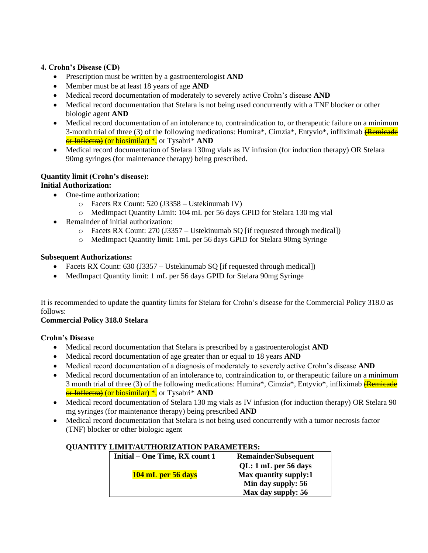## **4. Crohn's Disease (CD)**

- Prescription must be written by a gastroenterologist **AND**
- Member must be at least 18 years of age **AND**
- Medical record documentation of moderately to severely active Crohn's disease **AND**
- Medical record documentation that Stelara is not being used concurrently with a TNF blocker or other biologic agent **AND**
- Medical record documentation of an intolerance to, contraindication to, or therapeutic failure on a minimum 3-month trial of three  $(3)$  of the following medications: Humira\*, Cimzia\*, Entyvio\*, infliximab (Remicade) or Inflectra) (or biosimilar) \*, or Tysabri\* **AND**
- Medical record documentation of Stelara 130mg vials as IV infusion (for induction therapy) OR Stelara 90mg syringes (for maintenance therapy) being prescribed.

## **Quantity limit (Crohn's disease):**

## **Initial Authorization:**

- One-time authorization:
	- o Facets Rx Count: 520 (J3358 Ustekinumab IV)
	- o MedImpact Quantity Limit: 104 mL per 56 days GPID for Stelara 130 mg vial
- Remainder of initial authorization:
	- o Facets RX Count: 270 (J3357 Ustekinumab SQ [if requested through medical])
	- o MedImpact Quantity limit: 1mL per 56 days GPID for Stelara 90mg Syringe

## **Subsequent Authorizations:**

- Facets RX Count: 630 (J3357 Ustekinumab SQ [if requested through medical])
- MedImpact Quantity limit: 1 mL per 56 days GPID for Stelara 90mg Syringe

It is recommended to update the quantity limits for Stelara for Crohn's disease for the Commercial Policy 318.0 as follows:

## **Commercial Policy 318.0 Stelara**

## **Crohn's Disease**

- Medical record documentation that Stelara is prescribed by a gastroenterologist **AND**
- Medical record documentation of age greater than or equal to 18 years **AND**
- Medical record documentation of a diagnosis of moderately to severely active Crohn's disease **AND**
- Medical record documentation of an intolerance to, contraindication to, or therapeutic failure on a minimum 3 month trial of three (3) of the following medications: Humira\*, Cimzia\*, Entyvio\*, infliximab **(Remicade**) or Inflectra) (or biosimilar) \*, or Tysabri\* **AND**
- Medical record documentation of Stelara 130 mg vials as IV infusion (for induction therapy) OR Stelara 90 mg syringes (for maintenance therapy) being prescribed **AND**
- Medical record documentation that Stelara is not being used concurrently with a tumor necrosis factor (TNF) blocker or other biologic agent

| Initial – One Time, RX count 1 | <b>Remainder/Subsequent</b> |  |
|--------------------------------|-----------------------------|--|
|                                | QL: 1 mL per 56 days        |  |
| 104 mL per 56 days             | Max quantity supply:1       |  |
|                                | Min day supply: 56          |  |
|                                | Max day supply: 56          |  |

## **QUANTITY LIMIT/AUTHORIZATION PARAMETERS:**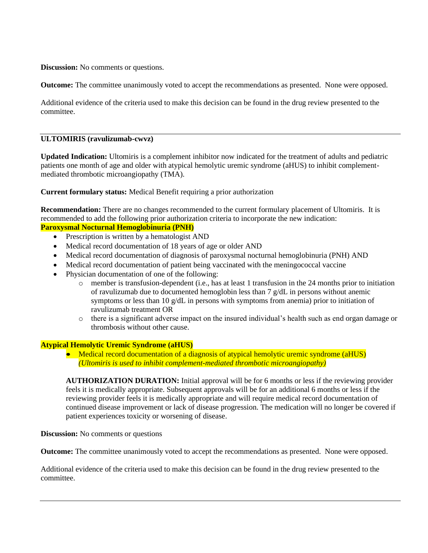**Discussion:** No comments or questions.

**Outcome:** The committee unanimously voted to accept the recommendations as presented. None were opposed.

Additional evidence of the criteria used to make this decision can be found in the drug review presented to the committee.

#### **ULTOMIRIS (ravulizumab-cwvz)**

**Updated Indication:** Ultomiris is a complement inhibitor now indicated for the treatment of adults and pediatric patients one month of age and older with atypical hemolytic uremic syndrome (aHUS) to inhibit complementmediated thrombotic microangiopathy (TMA).

**Current formulary status:** Medical Benefit requiring a prior authorization

**Recommendation:** There are no changes recommended to the current formulary placement of Ultomiris. It is recommended to add the following prior authorization criteria to incorporate the new indication:

## **Paroxysmal Nocturnal Hemoglobinuria (PNH)**

- Prescription is written by a hematologist AND
- Medical record documentation of 18 years of age or older AND
- Medical record documentation of diagnosis of paroxysmal nocturnal hemoglobinuria (PNH) AND
- Medical record documentation of patient being vaccinated with the meningococcal vaccine
- Physician documentation of one of the following:
	- o member is transfusion-dependent (i.e., has at least 1 transfusion in the 24 months prior to initiation of ravulizumab due to documented hemoglobin less than 7 g/dL in persons without anemic symptoms or less than 10 g/dL in persons with symptoms from anemia) prior to initiation of ravulizumab treatment OR
	- o there is a significant adverse impact on the insured individual's health such as end organ damage or thrombosis without other cause.

#### **Atypical Hemolytic Uremic Syndrome (aHUS)**

• Medical record documentation of a diagnosis of atypical hemolytic uremic syndrome (aHUS) *(Ultomiris is used to inhibit complement-mediated thrombotic microangiopathy)*

**AUTHORIZATION DURATION:** Initial approval will be for 6 months or less if the reviewing provider feels it is medically appropriate. Subsequent approvals will be for an additional 6 months or less if the reviewing provider feels it is medically appropriate and will require medical record documentation of continued disease improvement or lack of disease progression. The medication will no longer be covered if patient experiences toxicity or worsening of disease.

**Discussion:** No comments or questions

**Outcome:** The committee unanimously voted to accept the recommendations as presented. None were opposed.

Additional evidence of the criteria used to make this decision can be found in the drug review presented to the committee.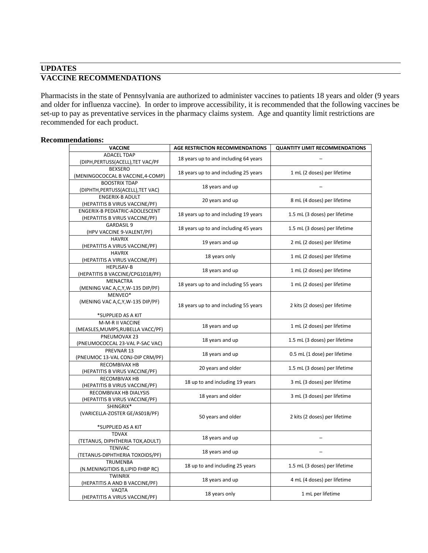## **UPDATES VACCINE RECOMMENDATIONS**

Pharmacists in the state of Pennsylvania are authorized to administer vaccines to patients 18 years and older (9 years and older for influenza vaccine). In order to improve accessibility, it is recommended that the following vaccines be set-up to pay as preventative services in the pharmacy claims system. Age and quantity limit restrictions are recommended for each product.

#### **Recommendations:**

| <b>VACCINE</b>                                                    | AGE RESTRICTION RECOMMENDATIONS       | <b>QUANTITY LIMIT RECOMMENDATIONS</b> |
|-------------------------------------------------------------------|---------------------------------------|---------------------------------------|
| <b>ADACEL TDAP</b><br>(DIPH, PERTUSS (ACELL), TET VAC/PF          | 18 years up to and including 64 years |                                       |
| <b>BEXSERO</b><br>(MENINGOCOCCAL B VACCINE, 4-COMP)               | 18 years up to and including 25 years | 1 mL (2 doses) per lifetime           |
| <b>BOOSTRIX TDAP</b><br>(DIPHTH, PERTUSS (ACELL), TET VAC)        | 18 years and up                       |                                       |
| <b>ENGERIX-B ADULT</b><br>(HEPATITIS B VIRUS VACCINE/PF)          | 20 years and up                       | 8 mL (4 doses) per lifetime           |
| ENGERIX-B PEDIATRIC-ADOLESCENT<br>(HEPATITIS B VIRUS VACCINE/PF)  | 18 years up to and including 19 years | 1.5 mL (3 doses) per lifetime         |
| <b>GARDASIL 9</b><br>(HPV VACCINE 9-VALENT/PF)                    | 18 years up to and including 45 years | 1.5 mL (3 doses) per lifetime         |
| <b>HAVRIX</b><br>(HEPATITIS A VIRUS VACCINE/PF)                   | 19 years and up                       | 2 mL (2 doses) per lifetime           |
| <b>HAVRIX</b><br>(HEPATITIS A VIRUS VACCINE/PF)                   | 18 years only                         | 1 mL (2 doses) per lifetime           |
| <b>HEPLISAV-B</b><br>(HEPATITIS B VACCINE/CPG1018/PF)             | 18 years and up                       | 1 mL (2 doses) per lifetime           |
| <b>MENACTRA</b><br>(MENING VAC A,C,Y,W-135 DIP/PF)                | 18 years up to and including 55 years | 1 mL (2 doses) per lifetime           |
| MENVEO*<br>(MENING VAC A,C,Y,W-135 DIP/PF)                        | 18 years up to and including 55 years | 2 kits (2 doses) per lifetime         |
| *SUPPLIED AS A KIT                                                |                                       |                                       |
| M-M-R II VACCINE<br>(MEASLES, MUMPS, RUBELLA VACC/PF)             | 18 years and up                       | 1 mL (2 doses) per lifetime           |
| PNEUMOVAX 23<br>(PNEUMOCOCCAL 23-VAL P-SAC VAC)                   | 18 years and up                       | 1.5 mL (3 doses) per lifetime         |
| PREVNAR 13<br>(PNEUMOC 13-VAL CONJ-DIP CRM/PF)                    | 18 years and up                       | 0.5 mL (1 dose) per lifetime          |
| RECOMBIVAX HB<br>(HEPATITIS B VIRUS VACCINE/PF)                   | 20 years and older                    | 1.5 mL (3 doses) per lifetime         |
| <b>RECOMBIVAX HB</b><br>(HEPATITIS B VIRUS VACCINE/PF)            | 18 up to and including 19 years       | 3 mL (3 doses) per lifetime           |
| RECOMBIVAX HB DIALYSIS<br>(HEPATITIS B VIRUS VACCINE/PF)          | 18 years and older                    | 3 mL (3 doses) per lifetime           |
| SHINGRIX*<br>(VARICELLA-ZOSTER GE/AS01B/PF)<br>*SUPPLIED AS A KIT | 50 years and older                    | 2 kits (2 doses) per lifetime         |
| <b>TDVAX</b><br>(TETANUS, DIPHTHERIA TOX, ADULT)                  | 18 years and up                       |                                       |
| <b>TENIVAC</b><br>(TETANUS-DIPHTHERIA TOXOIDS/PF)                 | 18 years and up                       |                                       |
| <b>TRUMENBA</b><br>(N.MENINGITIDIS B, LIPID FHBP RC)              | 18 up to and including 25 years       | 1.5 mL (3 doses) per lifetime         |
| <b>TWINRIX</b><br>(HEPATITIS A AND B VACCINE/PF)                  | 18 years and up                       | 4 mL (4 doses) per lifetime           |
| VAQTA<br>(HEPATITIS A VIRUS VACCINE/PF)                           | 18 years only                         | 1 mL per lifetime                     |